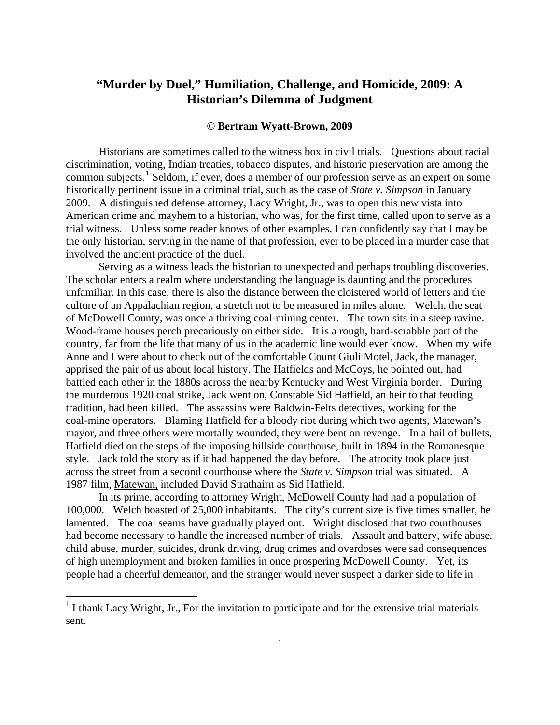## <span id="page-0-0"></span>**"Murder by Duel," Humiliation, Challenge, and Homicide, 2009: A Historian's Dilemma of Judgment**

## **© Bertram Wyatt-Brown, 2009**

 Historians are sometimes called to the witness box in civil trials. Questions about racial discrimination, voting, Indian treaties, tobacco disputes, and historic preservation are among the common subjects.<sup>[1](#page-0-0)</sup> Seldom, if ever, does a member of our profession serve as an expert on some historically pertinent issue in a criminal trial, such as the case of *State v. Simpson* in January 2009. A distinguished defense attorney, Lacy Wright, Jr., was to open this new vista into American crime and mayhem to a historian, who was, for the first time, called upon to serve as a trial witness. Unless some reader knows of other examples, I can confidently say that I may be the only historian, serving in the name of that profession, ever to be placed in a murder case that involved the ancient practice of the duel.

of McDowell County, was once a thriving coal-mining center. The town sits in a steep ravine. mayor, and three others were mortally wounded, they were bent on revenge. In a hail of bullets, Serving as a witness leads the historian to unexpected and perhaps troubling discoveries. The scholar enters a realm where understanding the language is daunting and the procedures unfamiliar. In this case, there is also the distance between the cloistered world of letters and the culture of an Appalachian region, a stretch not to be measured in miles alone. Welch, the seat Wood-frame houses perch precariously on either side. It is a rough, hard-scrabble part of the country, far from the life that many of us in the academic line would ever know. When my wife Anne and I were about to check out of the comfortable Count Giuli Motel, Jack, the manager, apprised the pair of us about local history. The Hatfields and McCoys, he pointed out, had battled each other in the 1880s across the nearby Kentucky and West Virginia border. During the murderous 1920 coal strike, Jack went on, Constable Sid Hatfield, an heir to that feuding tradition, had been killed. The assassins were Baldwin-Felts detectives, working for the coal-mine operators. Blaming Hatfield for a bloody riot during which two agents, Matewan's Hatfield died on the steps of the imposing hillside courthouse, built in 1894 in the Romanesque style. Jack told the story as if it had happened the day before. The atrocity took place just across the street from a second courthouse where the *State v. Simpson* trial was situated. A 1987 film, Matewan, included David Strathairn as Sid Hatfield.

had become necessary to handle the increased number of trials. Assault and battery, wife abuse, In its prime, according to attorney Wright, McDowell County had had a population of 100,000. Welch boasted of 25,000 inhabitants. The city's current size is five times smaller, he lamented. The coal seams have gradually played out. Wright disclosed that two courthouses child abuse, murder, suicides, drunk driving, drug crimes and overdoses were sad consequences of high unemployment and broken families in once prospering McDowell County. Yet, its people had a cheerful demeanor, and the stranger would never suspect a darker side to life in

 $\overline{a}$ 

<sup>&</sup>lt;sup>1</sup> I thank Lacy Wright, Jr., For the invitation to participate and for the extensive trial materials sent.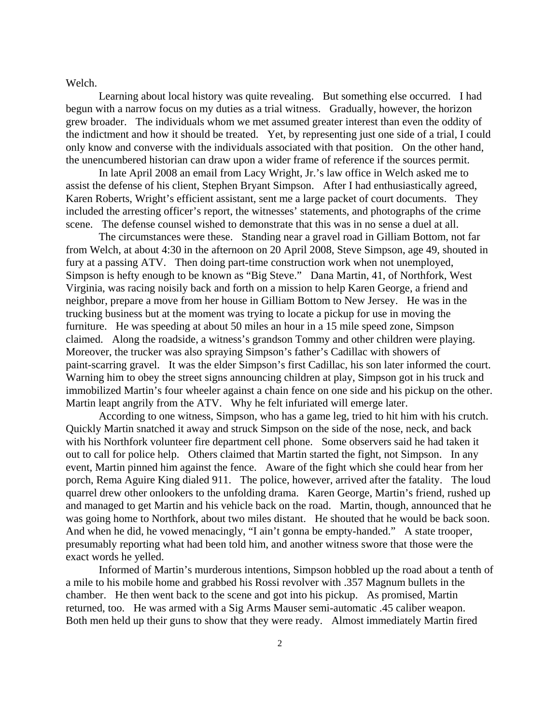## Welch.

grew broader. The individuals whom we met assumed greater interest than even the oddity of only know and converse with the individuals associated with that position. On the other hand, Learning about local history was quite revealing. But something else occurred. I had begun with a narrow focus on my duties as a trial witness. Gradually, however, the horizon the indictment and how it should be treated. Yet, by representing just one side of a trial, I could the unencumbered historian can draw upon a wider frame of reference if the sources permit.

 In late April 2008 an email from Lacy Wright, Jr.'s law office in Welch asked me to assist the defense of his client, Stephen Bryant Simpson. After I had enthusiastically agreed, Karen Roberts, Wright's efficient assistant, sent me a large packet of court documents. They included the arresting officer's report, the witnesses' statements, and photographs of the crime scene. The defense counsel wished to demonstrate that this was in no sense a duel at all.

 paint-scarring gravel. It was the elder Simpson's first Cadillac, his son later informed the court. immobilized Martin's four wheeler against a chain fence on one side and his pickup on the other. Martin leapt angrily from the ATV. Why he felt infuriated will emerge later. The circumstances were these. Standing near a gravel road in Gilliam Bottom, not far from Welch, at about 4:30 in the afternoon on 20 April 2008, Steve Simpson, age 49, shouted in fury at a passing ATV. Then doing part-time construction work when not unemployed, Simpson is hefty enough to be known as "Big Steve." Dana Martin, 41, of Northfork, West Virginia, was racing noisily back and forth on a mission to help Karen George, a friend and neighbor, prepare a move from her house in Gilliam Bottom to New Jersey. He was in the trucking business but at the moment was trying to locate a pickup for use in moving the furniture. He was speeding at about 50 miles an hour in a 15 mile speed zone, Simpson claimed. Along the roadside, a witness's grandson Tommy and other children were playing. Moreover, the trucker was also spraying Simpson's father's Cadillac with showers of Warning him to obey the street signs announcing children at play, Simpson got in his truck and

quarrel drew other onlookers to the unfolding drama. Karen George, Martin's friend, rushed up And when he did, he vowed menacingly, "I ain't gonna be empty-handed." A state trooper, According to one witness, Simpson, who has a game leg, tried to hit him with his crutch. Quickly Martin snatched it away and struck Simpson on the side of the nose, neck, and back with his Northfork volunteer fire department cell phone. Some observers said he had taken it out to call for police help. Others claimed that Martin started the fight, not Simpson. In any event, Martin pinned him against the fence. Aware of the fight which she could hear from her porch, Rema Aguire King dialed 911. The police, however, arrived after the fatality. The loud and managed to get Martin and his vehicle back on the road. Martin, though, announced that he was going home to Northfork, about two miles distant. He shouted that he would be back soon. presumably reporting what had been told him, and another witness swore that those were the exact words he yelled.

 Informed of Martin's murderous intentions, Simpson hobbled up the road about a tenth of a mile to his mobile home and grabbed his Rossi revolver with .357 Magnum bullets in the chamber. He then went back to the scene and got into his pickup. As promised, Martin returned, too. He was armed with a Sig Arms Mauser semi-automatic .45 caliber weapon. Both men held up their guns to show that they were ready. Almost immediately Martin fired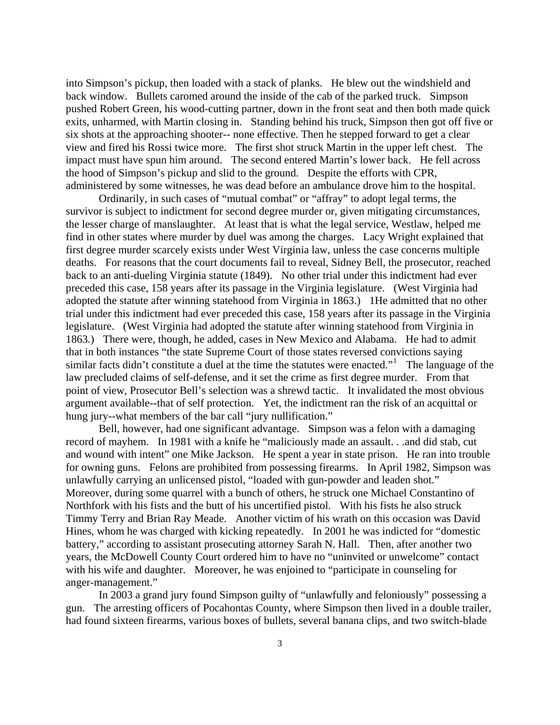exits, unharmed, with Martin closing in. Standing behind his truck, Simpson then got off five or impact must have spun him around. The second entered Martin's lower back. He fell across administered by some witnesses, he was dead before an ambulance drove him to the hospital. into Simpson's pickup, then loaded with a stack of planks. He blew out the windshield and back window. Bullets caromed around the inside of the cab of the parked truck. Simpson pushed Robert Green, his wood-cutting partner, down in the front seat and then both made quick six shots at the approaching shooter-- none effective. Then he stepped forward to get a clear view and fired his Rossi twice more. The first shot struck Martin in the upper left chest. The the hood of Simpson's pickup and slid to the ground. Despite the efforts with CPR,

similar facts didn't constitute a duel at the time the statutes were enacted."<sup>[1](#page-11-0)</sup> The language of the hung jury--what members of the bar call "jury nullification." Ordinarily, in such cases of "mutual combat" or "affray" to adopt legal terms, the survivor is subject to indictment for second degree murder or, given mitigating circumstances, the lesser charge of manslaughter. At least that is what the legal service, Westlaw, helped me find in other states where murder by duel was among the charges. Lacy Wright explained that first degree murder scarcely exists under West Virginia law, unless the case concerns multiple deaths. For reasons that the court documents fail to reveal, Sidney Bell, the prosecutor, reached back to an anti-dueling Virginia statute (1849). No other trial under this indictment had ever preceded this case, 158 years after its passage in the Virginia legislature. (West Virginia had adopted the statute after winning statehood from Virginia in 1863.) 1He admitted that no other trial under this indictment had ever preceded this case, 158 years after its passage in the Virginia legislature. (West Virginia had adopted the statute after winning statehood from Virginia in 1863.) There were, though, he added, cases in New Mexico and Alabama. He had to admit that in both instances "the state Supreme Court of those states reversed convictions saying law precluded claims of self-defense, and it set the crime as first degree murder. From that point of view, Prosecutor Bell's selection was a shrewd tactic. It invalidated the most obvious argument available--that of self protection. Yet, the indictment ran the risk of an acquittal or

and wound with intent" one Mike Jackson. He spent a year in state prison. He ran into trouble for owning guns. Felons are prohibited from possessing firearms. In April 1982, Simpson was years, the McDowell County Court ordered him to have no "uninvited or unwelcome" contact Bell, however, had one significant advantage. Simpson was a felon with a damaging record of mayhem. In 1981 with a knife he "maliciously made an assault. . .and did stab, cut unlawfully carrying an unlicensed pistol, "loaded with gun-powder and leaden shot." Moreover, during some quarrel with a bunch of others, he struck one Michael Constantino of Northfork with his fists and the butt of his uncertified pistol. With his fists he also struck Timmy Terry and Brian Ray Meade. Another victim of his wrath on this occasion was David Hines, whom he was charged with kicking repeatedly. In 2001 he was indicted for "domestic battery," according to assistant prosecuting attorney Sarah N. Hall. Then, after another two with his wife and daughter. Moreover, he was enjoined to "participate in counseling for anger-management."

 In 2003 a grand jury found Simpson guilty of "unlawfully and feloniously" possessing a gun. The arresting officers of Pocahontas County, where Simpson then lived in a double trailer, had found sixteen firearms, various boxes of bullets, several banana clips, and two switch-blade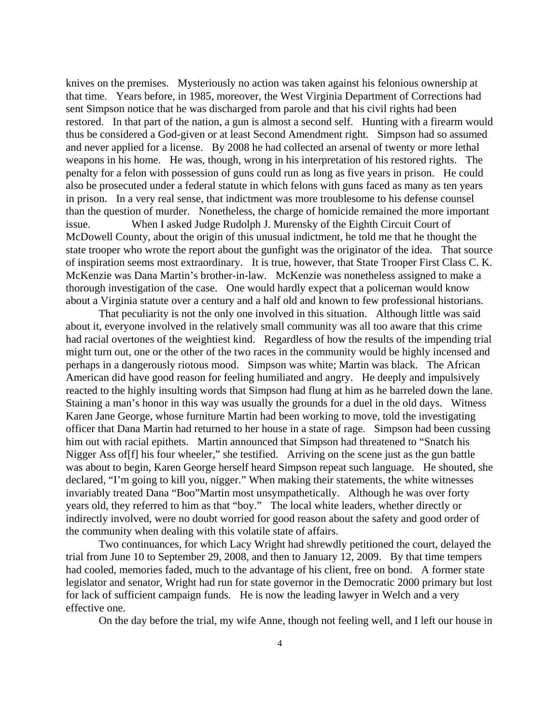restored. In that part of the nation, a gun is almost a second self. Hunting with a firearm would thus be considered a God-given or at least Second Amendment right. Simpson had so assumed than the question of murder. Nonetheless, the charge of homicide remained the more important state trooper who wrote the report about the gunfight was the originator of the idea. That source of inspiration seems most extraordinary. It is true, however, that State Trooper First Class C. K. McKenzie was Dana Martin's brother-in-law. McKenzie was nonetheless assigned to make a thorough investigation of the case. One would hardly expect that a policeman would know about a Virginia statute over a century and a half old and known to few professional historians. knives on the premises. Mysteriously no action was taken against his felonious ownership at that time. Years before, in 1985, moreover, the West Virginia Department of Corrections had sent Simpson notice that he was discharged from parole and that his civil rights had been and never applied for a license. By 2008 he had collected an arsenal of twenty or more lethal weapons in his home. He was, though, wrong in his interpretation of his restored rights. The penalty for a felon with possession of guns could run as long as five years in prison. He could also be prosecuted under a federal statute in which felons with guns faced as many as ten years in prison. In a very real sense, that indictment was more troublesome to his defense counsel issue. When I asked Judge Rudolph J. Murensky of the Eighth Circuit Court of McDowell County, about the origin of this unusual indictment, he told me that he thought the

might turn out, one or the other of the two races in the community would be highly incensed and reacted to the highly insulting words that Simpson had flung at him as he barreled down the lane. Staining a man's honor in this way was usually the grounds for a duel in the old days. Witness officer that Dana Martin had returned to her house in a state of rage. Simpson had been cussing was about to begin, Karen George herself heard Simpson repeat such language. He shouted, she years old, they referred to him as that "boy." The local white leaders, whether directly or indirectly involved, were no doubt worried for good reason about the safety and good order of That peculiarity is not the only one involved in this situation. Although little was said about it, everyone involved in the relatively small community was all too aware that this crime had racial overtones of the weightiest kind. Regardless of how the results of the impending trial perhaps in a dangerously riotous mood. Simpson was white; Martin was black. The African American did have good reason for feeling humiliated and angry. He deeply and impulsively Karen Jane George, whose furniture Martin had been working to move, told the investigating him out with racial epithets. Martin announced that Simpson had threatened to "Snatch his Nigger Ass of[f] his four wheeler," she testified. Arriving on the scene just as the gun battle declared, "I'm going to kill you, nigger." When making their statements, the white witnesses invariably treated Dana "Boo"Martin most unsympathetically. Although he was over forty the community when dealing with this volatile state of affairs.

Two continuances, for which Lacy Wright had shrewdly petitioned the court, delayed the legislator and senator, Wright had run for state governor in the Democratic 2000 primary but lost for lack of sufficient campaign funds. He is now the leading lawyer in Welch and a very trial from June 10 to September 29, 2008, and then to January 12, 2009. By that time tempers had cooled, memories faded, much to the advantage of his client, free on bond. A former state effective one.

On the day before the trial, my wife Anne, though not feeling well, and I left our house in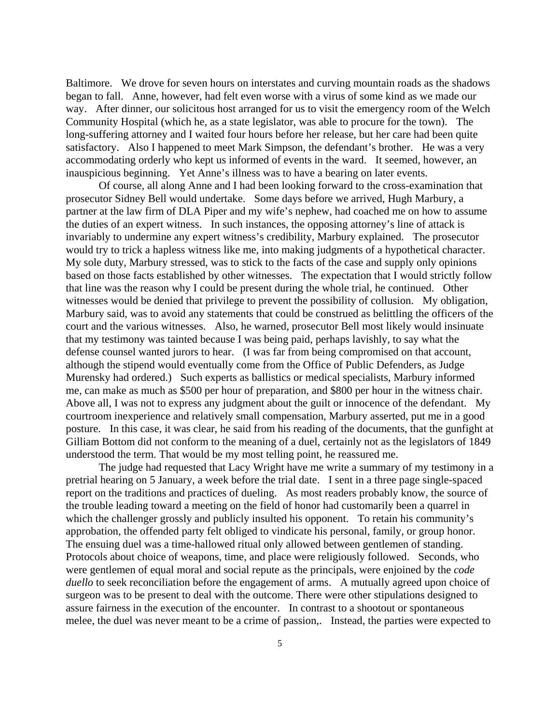Baltimore. We drove for seven hours on interstates and curving mountain roads as the shadows way. After dinner, our solicitous host arranged for us to visit the emergency room of the Welch satisfactory. Also I happened to meet Mark Simpson, the defendant's brother. He was a very accommodating orderly who kept us informed of events in the ward. It seemed, however, an began to fall. Anne, however, had felt even worse with a virus of some kind as we made our Community Hospital (which he, as a state legislator, was able to procure for the town). The long-suffering attorney and I waited four hours before her release, but her care had been quite inauspicious beginning. Yet Anne's illness was to have a bearing on later events.

Of course, all along Anne and I had been looking forward to the cross-examination that partner at the law firm of DLA Piper and my wife's nephew, had coached me on how to assume would try to trick a hapless witness like me, into making judgments of a hypothetical character. based on those facts established by other witnesses. The expectation that I would strictly follow Marbury said, was to avoid any statements that could be construed as belittling the officers of the court and the various witnesses. Also, he warned, prosecutor Bell most likely would insinuate Gilliam Bottom did not conform to the meaning of a duel, certainly not as the legislators of 1849 prosecutor Sidney Bell would undertake. Some days before we arrived, Hugh Marbury, a the duties of an expert witness. In such instances, the opposing attorney's line of attack is invariably to undermine any expert witness's credibility, Marbury explained. The prosecutor My sole duty, Marbury stressed, was to stick to the facts of the case and supply only opinions that line was the reason why I could be present during the whole trial, he continued. Other witnesses would be denied that privilege to prevent the possibility of collusion. My obligation, that my testimony was tainted because I was being paid, perhaps lavishly, to say what the defense counsel wanted jurors to hear. (I was far from being compromised on that account, although the stipend would eventually come from the Office of Public Defenders, as Judge Murensky had ordered.) Such experts as ballistics or medical specialists, Marbury informed me, can make as much as \$500 per hour of preparation, and \$800 per hour in the witness chair. Above all, I was not to express any judgment about the guilt or innocence of the defendant. My courtroom inexperience and relatively small compensation, Marbury asserted, put me in a good posture. In this case, it was clear, he said from his reading of the documents, that the gunfight at understood the term. That would be my most telling point, he reassured me.

The judge had requested that Lacy Wright have me write a summary of my testimony in a report on the traditions and practices of dueling. As most readers probably know, the source of approbation, the offended party felt obliged to vindicate his personal, family, or group honor. duello to seek reconciliation before the engagement of arms. A mutually agreed upon choice of melee, the duel was never meant to be a crime of passion,. Instead, the parties were expected to pretrial hearing on 5 January, a week before the trial date. I sent in a three page single-spaced the trouble leading toward a meeting on the field of honor had customarily been a quarrel in which the challenger grossly and publicly insulted his opponent. To retain his community's The ensuing duel was a time-hallowed ritual only allowed between gentlemen of standing. Protocols about choice of weapons, time, and place were religiously followed. Seconds, who were gentlemen of equal moral and social repute as the principals, were enjoined by the *code*  surgeon was to be present to deal with the outcome. There were other stipulations designed to assure fairness in the execution of the encounter. In contrast to a shootout or spontaneous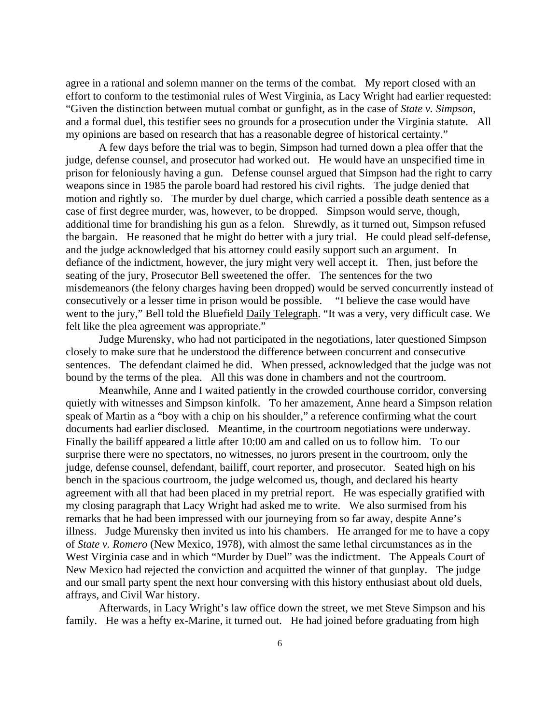effort to conform to the testimonial rules of West Virginia, as Lacy Wright had earlier requested: and a formal duel, this testifier sees no grounds for a prosecution under the Virginia statute. All my opinions are based on research that has a reasonable degree of historical certainty." agree in a rational and solemn manner on the terms of the combat. My report closed with an "Given the distinction between mutual combat or gunfight, as in the case of *State v. Simpson*,

prison for feloniously having a gun. Defense counsel argued that Simpson had the right to carry motion and rightly so. The murder by duel charge, which carried a possible death sentence as a misdemeanors (the felony charges having been dropped) would be served concurrently instead of went to the jury," Bell told the Bluefield Daily Telegraph. "It was a very, very difficult case. We A few days before the trial was to begin, Simpson had turned down a plea offer that the judge, defense counsel, and prosecutor had worked out. He would have an unspecified time in weapons since in 1985 the parole board had restored his civil rights. The judge denied that case of first degree murder, was, however, to be dropped. Simpson would serve, though, additional time for brandishing his gun as a felon. Shrewdly, as it turned out, Simpson refused the bargain. He reasoned that he might do better with a jury trial. He could plead self-defense, and the judge acknowledged that his attorney could easily support such an argument. In defiance of the indictment, however, the jury might very well accept it. Then, just before the seating of the jury, Prosecutor Bell sweetened the offer. The sentences for the two consecutively or a lesser time in prison would be possible. "I believe the case would have felt like the plea agreement was appropriate."

Judge Murensky, who had not participated in the negotiations, later questioned Simpson sentences. The defendant claimed he did. When pressed, acknowledged that the judge was not closely to make sure that he understood the difference between concurrent and consecutive bound by the terms of the plea. All this was done in chambers and not the courtroom.

quietly with witnesses and Simpson kinfolk. To her amazement, Anne heard a Simpson relation documents had earlier disclosed. Meantime, in the courtroom negotiations were underway. judge, defense counsel, defendant, bailiff, court reporter, and prosecutor. Seated high on his agreement with all that had been placed in my pretrial report. He was especially gratified with illness. Judge Murensky then invited us into his chambers. He arranged for me to have a copy West Virginia case and in which "Murder by Duel" was the indictment. The Appeals Court of and our small party spent the next hour conversing with this history enthusiast about old duels, Meanwhile, Anne and I waited patiently in the crowded courthouse corridor, conversing speak of Martin as a "boy with a chip on his shoulder," a reference confirming what the court Finally the bailiff appeared a little after 10:00 am and called on us to follow him. To our surprise there were no spectators, no witnesses, no jurors present in the courtroom, only the bench in the spacious courtroom, the judge welcomed us, though, and declared his hearty my closing paragraph that Lacy Wright had asked me to write. We also surmised from his remarks that he had been impressed with our journeying from so far away, despite Anne's of *State v. Romero* (New Mexico, 1978), with almost the same lethal circumstances as in the New Mexico had rejected the conviction and acquitted the winner of that gunplay. The judge affrays, and Civil War history.

Afterwards, in Lacy Wright's law office down the street, we met Steve Simpson and his family. He was a hefty ex-Marine, it turned out. He had joined before graduating from high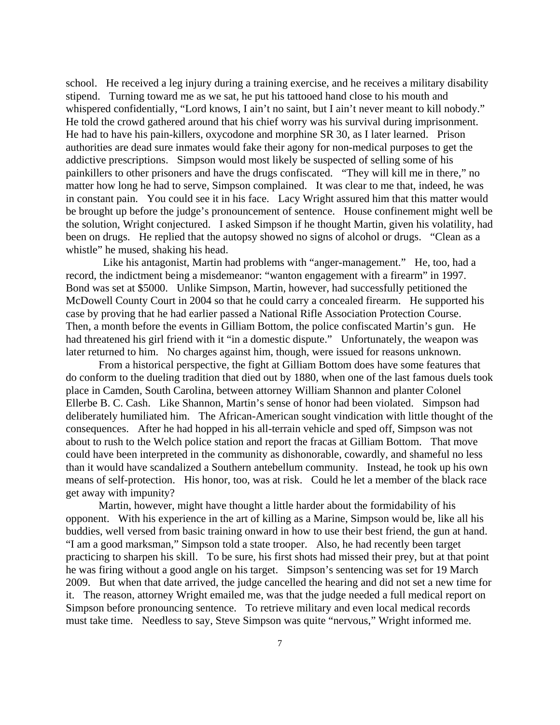whispered confidentially, "Lord knows, I ain't no saint, but I ain't never meant to kill nobody." He had to have his pain-killers, oxycodone and morphine SR 30, as I later learned. Prison in constant pain. You could see it in his face. Lacy Wright assured him that this matter would the solution, Wright conjectured. I asked Simpson if he thought Martin, given his volatility, had been on drugs. He replied that the autopsy showed no signs of alcohol or drugs. "Clean as a school. He received a leg injury during a training exercise, and he receives a military disability stipend. Turning toward me as we sat, he put his tattooed hand close to his mouth and He told the crowd gathered around that his chief worry was his survival during imprisonment. authorities are dead sure inmates would fake their agony for non-medical purposes to get the addictive prescriptions. Simpson would most likely be suspected of selling some of his painkillers to other prisoners and have the drugs confiscated. "They will kill me in there," no matter how long he had to serve, Simpson complained. It was clear to me that, indeed, he was be brought up before the judge's pronouncement of sentence. House confinement might well be whistle" he mused, shaking his head.

had threatened his girl friend with it "in a domestic dispute." Unfortunately, the weapon was Like his antagonist, Martin had problems with "anger-management." He, too, had a record, the indictment being a misdemeanor: "wanton engagement with a firearm" in 1997. Bond was set at \$5000. Unlike Simpson, Martin, however, had successfully petitioned the McDowell County Court in 2004 so that he could carry a concealed firearm. He supported his case by proving that he had earlier passed a National Rifle Association Protection Course. Then, a month before the events in Gilliam Bottom, the police confiscated Martin's gun. He later returned to him. No charges against him, though, were issued for reasons unknown.

do conform to the dueling tradition that died out by 1880, when one of the last famous duels took deliberately humiliated him. The African-American sought vindication with little thought of the means of self-protection. His honor, too, was at risk. Could he let a member of the black race From a historical perspective, the fight at Gilliam Bottom does have some features that place in Camden, South Carolina, between attorney William Shannon and planter Colonel Ellerbe B. C. Cash. Like Shannon, Martin's sense of honor had been violated. Simpson had consequences. After he had hopped in his all-terrain vehicle and sped off, Simpson was not about to rush to the Welch police station and report the fracas at Gilliam Bottom. That move could have been interpreted in the community as dishonorable, cowardly, and shameful no less than it would have scandalized a Southern antebellum community. Instead, he took up his own get away with impunity?

buddies, well versed from basic training onward in how to use their best friend, the gun at hand. practicing to sharpen his skill. To be sure, his first shots had missed their prey, but at that point 2009. But when that date arrived, the judge cancelled the hearing and did not set a new time for must take time. Needless to say, Steve Simpson was quite "nervous," Wright informed me. Martin, however, might have thought a little harder about the formidability of his opponent. With his experience in the art of killing as a Marine, Simpson would be, like all his "I am a good marksman," Simpson told a state trooper. Also, he had recently been target he was firing without a good angle on his target. Simpson's sentencing was set for 19 March it. The reason, attorney Wright emailed me, was that the judge needed a full medical report on Simpson before pronouncing sentence. To retrieve military and even local medical records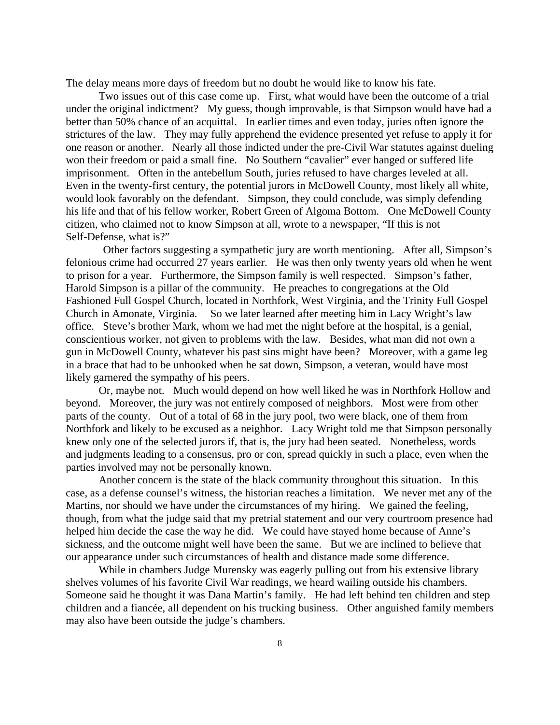The delay means more days of freedom but no doubt he would like to know his fate.

under the original indictment? My guess, though improvable, is that Simpson would have had a one reason or another. Nearly all those indicted under the pre-Civil War statutes against dueling Even in the twenty-first century, the potential jurors in McDowell County, most likely all white, citizen, who claimed not to know Simpson at all, wrote to a newspaper, "If this is not Two issues out of this case come up. First, what would have been the outcome of a trial better than 50% chance of an acquittal. In earlier times and even today, juries often ignore the strictures of the law. They may fully apprehend the evidence presented yet refuse to apply it for won their freedom or paid a small fine. No Southern "cavalier" ever hanged or suffered life imprisonment. Often in the antebellum South, juries refused to have charges leveled at all. would look favorably on the defendant. Simpson, they could conclude, was simply defending his life and that of his fellow worker, Robert Green of Algoma Bottom. One McDowell County Self-Defense, what is?"

felonious crime had occurred 27 years earlier. He was then only twenty years old when he went gun in McDowell County, whatever his past sins might have been? Moreover, with a game leg in a brace that had to be unhooked when he sat down, Simpson, a veteran, would have most Other factors suggesting a sympathetic jury are worth mentioning. After all, Simpson's to prison for a year. Furthermore, the Simpson family is well respected. Simpson's father, Harold Simpson is a pillar of the community. He preaches to congregations at the Old Fashioned Full Gospel Church, located in Northfork, West Virginia, and the Trinity Full Gospel Church in Amonate, Virginia. So we later learned after meeting him in Lacy Wright's law office. Steve's brother Mark, whom we had met the night before at the hospital, is a genial, conscientious worker, not given to problems with the law. Besides, what man did not own a likely garnered the sympathy of his peers.

Or, maybe not. Much would depend on how well liked he was in Northfork Hollow and beyond. Moreover, the jury was not entirely composed of neighbors. Most were from other and judgments leading to a consensus, pro or con, spread quickly in such a place, even when the parts of the county. Out of a total of 68 in the jury pool, two were black, one of them from Northfork and likely to be excused as a neighbor. Lacy Wright told me that Simpson personally knew only one of the selected jurors if, that is, the jury had been seated. Nonetheless, words parties involved may not be personally known.

case, as a defense counsel's witness, the historian reaches a limitation. We never met any of the though, from what the judge said that my pretrial statement and our very courtroom presence had sickness, and the outcome might well have been the same. But we are inclined to believe that Another concern is the state of the black community throughout this situation. In this Martins, nor should we have under the circumstances of my hiring. We gained the feeling, helped him decide the case the way he did. We could have stayed home because of Anne's our appearance under such circumstances of health and distance made some difference.

children and a fiancée, all dependent on his trucking business. Other anguished family members may also have been outside the judge's chambers. While in chambers Judge Murensky was eagerly pulling out from his extensive library shelves volumes of his favorite Civil War readings, we heard wailing outside his chambers. Someone said he thought it was Dana Martin's family. He had left behind ten children and step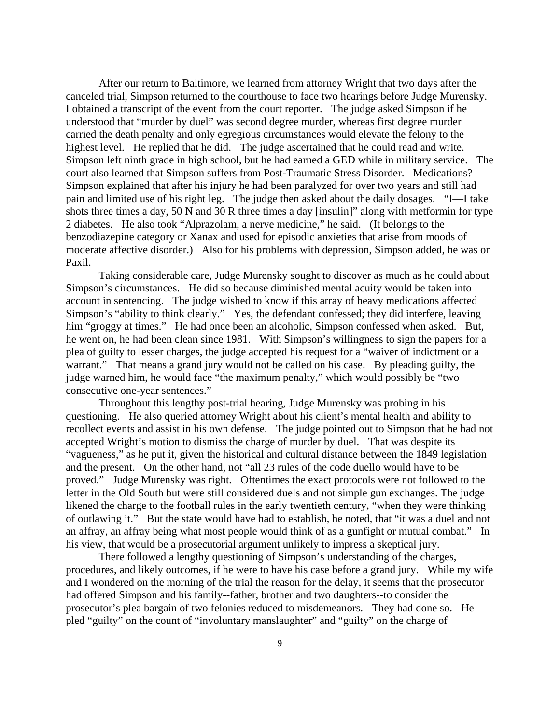canceled trial, Simpson returned to the courthouse to face two hearings before Judge Murensky. Simpson left ninth grade in high school, but he had earned a GED while in military service. The shots three times a day, 50 N and 30 R three times a day [insulin]" along with metformin for type moderate affective disorder.) Also for his problems with depression, Simpson added, he was on After our return to Baltimore, we learned from attorney Wright that two days after the I obtained a transcript of the event from the court reporter. The judge asked Simpson if he understood that "murder by duel" was second degree murder, whereas first degree murder carried the death penalty and only egregious circumstances would elevate the felony to the highest level. He replied that he did. The judge ascertained that he could read and write. court also learned that Simpson suffers from Post-Traumatic Stress Disorder. Medications? Simpson explained that after his injury he had been paralyzed for over two years and still had pain and limited use of his right leg. The judge then asked about the daily dosages. "I—I take 2 diabetes. He also took "Alprazolam, a nerve medicine," he said. (It belongs to the benzodiazepine category or Xanax and used for episodic anxieties that arise from moods of Paxil.

Taking considerable care, Judge Murensky sought to discover as much as he could about he went on, he had been clean since 1981. With Simpson's willingness to sign the papers for a plea of guilty to lesser charges, the judge accepted his request for a "waiver of indictment or a warrant." That means a grand jury would not be called on his case. By pleading guilty, the judge warned him, he would face "the maximum penalty," which would possibly be "two Simpson's circumstances. He did so because diminished mental acuity would be taken into account in sentencing. The judge wished to know if this array of heavy medications affected Simpson's "ability to think clearly." Yes, the defendant confessed; they did interfere, leaving him "groggy at times." He had once been an alcoholic, Simpson confessed when asked. But, consecutive one-year sentences."

recollect events and assist in his own defense. The judge pointed out to Simpson that he had not "vagueness," as he put it, given the historical and cultural distance between the 1849 legislation an affray, an affray being what most people would think of as a gunfight or mutual combat." In Throughout this lengthy post-trial hearing, Judge Murensky was probing in his questioning. He also queried attorney Wright about his client's mental health and ability to accepted Wright's motion to dismiss the charge of murder by duel. That was despite its and the present. On the other hand, not "all 23 rules of the code duello would have to be proved." Judge Murensky was right. Oftentimes the exact protocols were not followed to the letter in the Old South but were still considered duels and not simple gun exchanges. The judge likened the charge to the football rules in the early twentieth century, "when they were thinking of outlawing it." But the state would have had to establish, he noted, that "it was a duel and not his view, that would be a prosecutorial argument unlikely to impress a skeptical jury.

procedures, and likely outcomes, if he were to have his case before a grand jury. While my wife and I wondered on the morning of the trial the reason for the delay, it seems that the prosecutor pled "guilty" on the count of "involuntary manslaughter" and "guilty" on the charge of There followed a lengthy questioning of Simpson's understanding of the charges, had offered Simpson and his family--father, brother and two daughters--to consider the prosecutor's plea bargain of two felonies reduced to misdemeanors. They had done so. He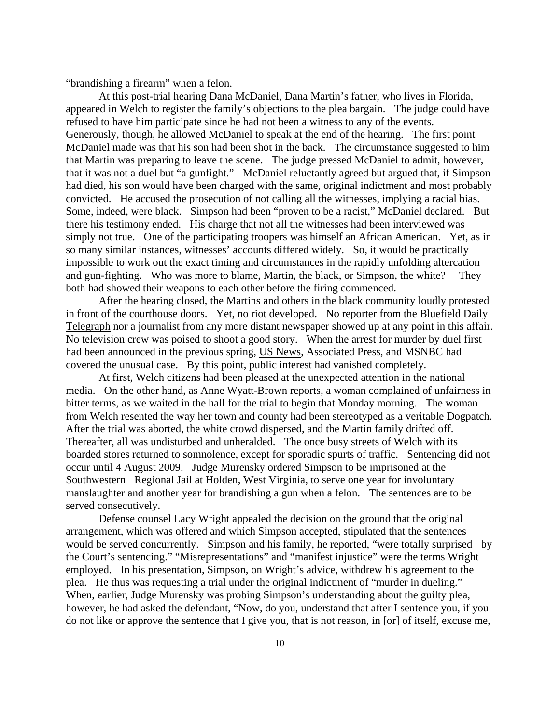"brandishing a firearm" when a felon.

had died, his son would have been charged with the same, original indictment and most probably convicted. He accused the prosecution of not calling all the witnesses, implying a racial bias. simply not true. One of the participating troopers was himself an African American. Yet, as in and gun-fighting. Who was more to blame, Martin, the black, or Simpson, the white? They At this post-trial hearing Dana McDaniel, Dana Martin's father, who lives in Florida, appeared in Welch to register the family's objections to the plea bargain. The judge could have refused to have him participate since he had not been a witness to any of the events. Generously, though, he allowed McDaniel to speak at the end of the hearing. The first point McDaniel made was that his son had been shot in the back. The circumstance suggested to him that Martin was preparing to leave the scene. The judge pressed McDaniel to admit, however, that it was not a duel but "a gunfight." McDaniel reluctantly agreed but argued that, if Simpson Some, indeed, were black. Simpson had been "proven to be a racist," McDaniel declared. But there his testimony ended. His charge that not all the witnesses had been interviewed was so many similar instances, witnesses' accounts differed widely. So, it would be practically impossible to work out the exact timing and circumstances in the rapidly unfolding altercation both had showed their weapons to each other before the firing commenced.

 After the hearing closed, the Martins and others in the black community loudly protested in front of the courthouse doors. Yet, no riot developed. No reporter from the Bluefield Daily Telegraph nor a journalist from any more distant newspaper showed up at any point in this affair. No television crew was poised to shoot a good story. When the arrest for murder by duel f irst had been announced in the previous spring, US News, Associated Press, and MSNBC had covered the unusual case. By this point, public interest had vanished completely.

media. On the other hand, as Anne Wyatt-Brown reports, a woman complained of unfairness in from Welch resented the way her town and county had been stereotyped as a veritable Dogpatch. boarded stores returned to somnolence, except for sporadic spurts of traffic. Sentencing did not manslaughter and another year for brandishing a gun when a felon. The sentences are to be At first, Welch citizens had been pleased at the unexpected attention in the national bitter terms, as we waited in the hall for the trial to begin that Monday morning. The woman After the trial was aborted, the white crowd dispersed, and the Martin family drifted off. Thereafter, all was undisturbed and unheralded. The once busy streets of Welch with its occur until 4 August 2009. Judge Murensky ordered Simpson to be imprisoned at the Southwestern Regional Jail at Holden, West Virginia, to serve one year for involuntary served consecutively.

would be served concurrently. Simpson and his family, he reported, "were totally surprised by Defense counsel Lacy Wright appealed the decision on the ground that the original arrangement, which was offered and which Simpson accepted, stipulated that the sentences the Court's sentencing." "Misrepresentations" and "manifest injustice" were the terms Wright employed. In his presentation, Simpson, on Wright's advice, withdrew his agreement to the plea. He thus was requesting a trial under the original indictment of "murder in dueling." When, earlier, Judge Murensky was probing Simpson's understanding about the guilty plea, however, he had asked the defendant, "Now, do you, understand that after I sentence you, if you do not like or approve the sentence that I give you, that is not reason, in [or] of itself, excuse me,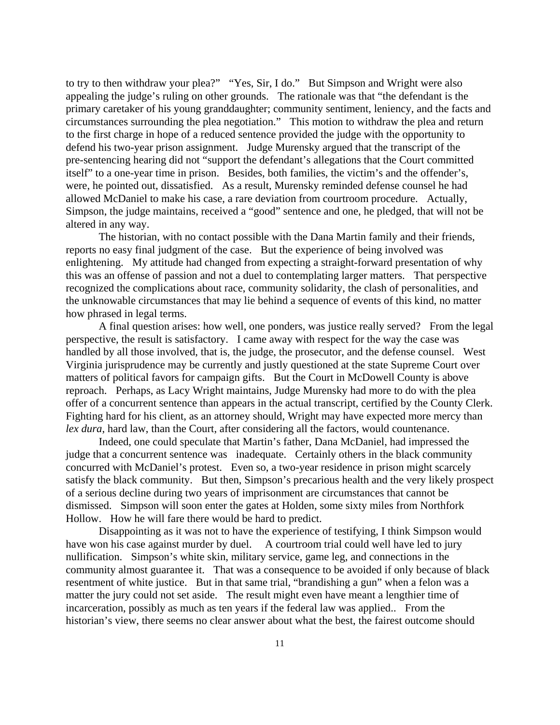defend his two-year prison assignment. Judge Murensky argued that the transcript of the were, he pointed out, dissatisfied. As a result, Murensky reminded defense counsel he had Simpson, the judge maintains, received a "good" sentence and one, he pledged, that will not be to try to then withdraw your plea?" "Yes, Sir, I do." But Simpson and Wright were also appealing the judge's ruling on other grounds. The rationale was that "the defendant is the primary caretaker of his young granddaughter; community sentiment, leniency, and the facts and circumstances surrounding the plea negotiation." This motion to withdraw the plea and return to the first charge in hope of a reduced sentence provided the judge with the opportunity to pre-sentencing hearing did not "support the defendant's allegations that the Court committed itself" to a one-year time in prison. Besides, both families, the victim's and the offender's, allowed McDaniel to make his case, a rare deviation from courtroom procedure. Actually, altered in any way.

this was an offense of passion and not a duel to contemplating larger matters. That perspective The historian, with no contact possible with the Dana Martin family and their friends, reports no easy final judgment of the case. But the experience of being involved was enlightening. My attitude had changed from expecting a straight-forward presentation of why recognized the complications about race, community solidarity, the clash of personalities, and the unknowable circumstances that may lie behind a sequence of events of this kind, no matter how phrased in legal terms.

handled by all those involved, that is, the judge, the prosecutor, and the defense counsel. West reproach. Perhaps, as Lacy Wright maintains, Judge Murensky had more to do with the plea offer of a concurrent sentence than appears in the actual transcript, certified by the County Clerk. Fighting hard for his client, as an attorney should, Wright may have expected more mercy than A final question arises: how well, one ponders, was justice really served? From the legal perspective, the result is satisfactory. I came away with respect for the way the case was Virginia jurisprudence may be currently and justly questioned at the state Supreme Court over matters of political favors for campaign gifts. But the Court in McDowell County is above *lex dura*, hard law, than the Court, after considering all the factors, would countenance.

judge that a concurrent sentence was inadequate. Certainly others in the black community concurred with McDaniel's protest. Even so, a two-year residence in prison might scarcely satisfy the black community. But then, Simpson's precarious health and the very likely prospect Indeed, one could speculate that Martin's father, Dana McDaniel, had impressed the of a serious decline during two years of imprisonment are circumstances that cannot be dismissed. Simpson will soon enter the gates at Holden, some sixty miles from Northfork Hollow. How he will fare there would be hard to predict.

matter the jury could not set aside. The result might even have meant a lengthier time of incarceration, possibly as much as ten years if the federal law was applied.. From the historian's view, there seems no clear answer about what the best, the fairest outcome should Disappointing as it was not to have the experience of testifying, I think Simpson would have won his case against murder by duel. A courtroom trial could well have led to jury nullification. Simpson's white skin, military service, game leg, and connections in the community almost guarantee it. That was a consequence to be avoided if only because of black resentment of white justice. But in that same trial, "brandishing a gun" when a felon was a